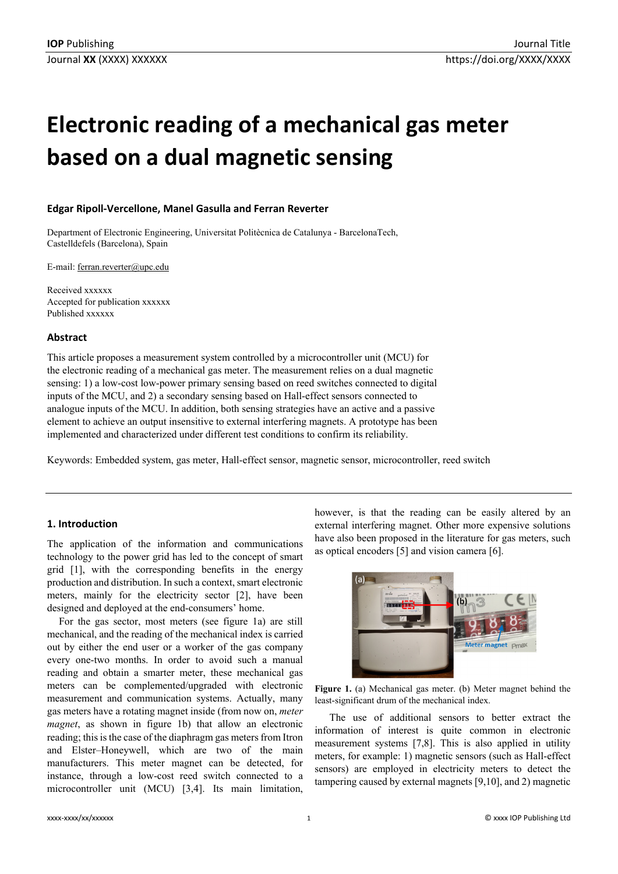# **Electronic reading of a mechanical gas meter based on a dual magnetic sensing**

## **Edgar Ripoll‐Vercellone, Manel Gasulla and Ferran Reverter**

Department of Electronic Engineering, Universitat Politècnica de Catalunya - BarcelonaTech, Castelldefels (Barcelona), Spain

E-mail: ferran.reverter@upc.edu

Received xxxxxx Accepted for publication xxxxxx Published xxxxxx

### **Abstract**

This article proposes a measurement system controlled by a microcontroller unit (MCU) for the electronic reading of a mechanical gas meter. The measurement relies on a dual magnetic sensing: 1) a low-cost low-power primary sensing based on reed switches connected to digital inputs of the MCU, and 2) a secondary sensing based on Hall-effect sensors connected to analogue inputs of the MCU. In addition, both sensing strategies have an active and a passive element to achieve an output insensitive to external interfering magnets. A prototype has been implemented and characterized under different test conditions to confirm its reliability.

Keywords: Embedded system, gas meter, Hall-effect sensor, magnetic sensor, microcontroller, reed switch

#### **1. Introduction**

The application of the information and communications technology to the power grid has led to the concept of smart grid [1], with the corresponding benefits in the energy production and distribution. In such a context, smart electronic meters, mainly for the electricity sector [2], have been designed and deployed at the end-consumers' home.

For the gas sector, most meters (see figure 1a) are still mechanical, and the reading of the mechanical index is carried out by either the end user or a worker of the gas company every one-two months. In order to avoid such a manual reading and obtain a smarter meter, these mechanical gas meters can be complemented/upgraded with electronic measurement and communication systems. Actually, many gas meters have a rotating magnet inside (from now on, *meter magnet*, as shown in figure 1b) that allow an electronic reading; this is the case of the diaphragm gas meters from Itron and Elster–Honeywell, which are two of the main manufacturers. This meter magnet can be detected, for instance, through a low-cost reed switch connected to a microcontroller unit (MCU) [3,4]. Its main limitation,

however, is that the reading can be easily altered by an external interfering magnet. Other more expensive solutions have also been proposed in the literature for gas meters, such as optical encoders [5] and vision camera [6].



**Figure 1.** (a) Mechanical gas meter. (b) Meter magnet behind the least-significant drum of the mechanical index.

The use of additional sensors to better extract the information of interest is quite common in electronic measurement systems [7,8]. This is also applied in utility meters, for example: 1) magnetic sensors (such as Hall-effect sensors) are employed in electricity meters to detect the tampering caused by external magnets [9,10], and 2) magnetic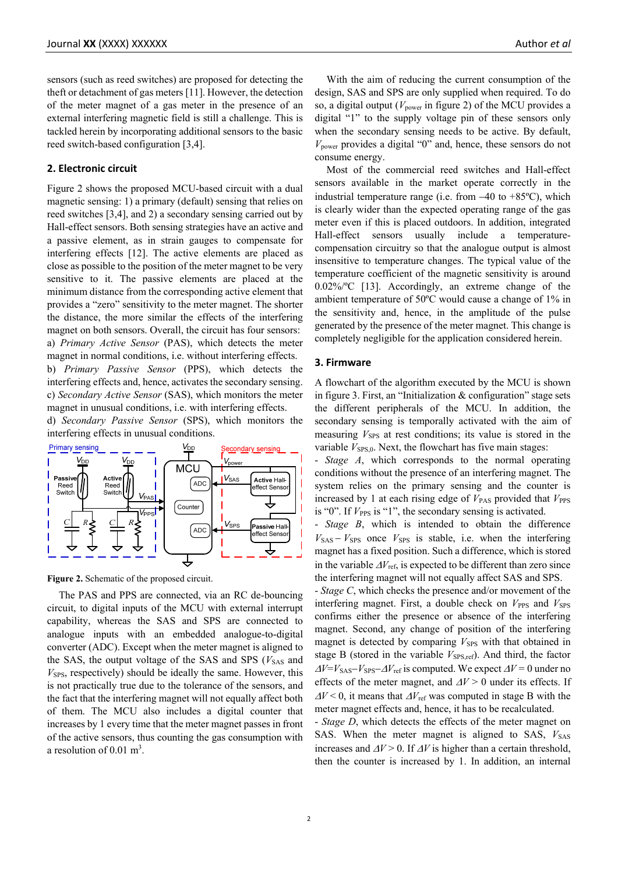sensors (such as reed switches) are proposed for detecting the theft or detachment of gas meters [11]. However, the detection of the meter magnet of a gas meter in the presence of an external interfering magnetic field is still a challenge. This is tackled herein by incorporating additional sensors to the basic reed switch-based configuration [3,4].

## **2. Electronic circuit**

Figure 2 shows the proposed MCU-based circuit with a dual magnetic sensing: 1) a primary (default) sensing that relies on reed switches [3,4], and 2) a secondary sensing carried out by Hall-effect sensors. Both sensing strategies have an active and a passive element, as in strain gauges to compensate for interfering effects [12]. The active elements are placed as close as possible to the position of the meter magnet to be very sensitive to it. The passive elements are placed at the minimum distance from the corresponding active element that provides a "zero" sensitivity to the meter magnet. The shorter the distance, the more similar the effects of the interfering magnet on both sensors. Overall, the circuit has four sensors: a) *Primary Active Sensor* (PAS), which detects the meter magnet in normal conditions, i.e. without interfering effects. b) *Primary Passive Sensor* (PPS), which detects the interfering effects and, hence, activates the secondary sensing. c) *Secondary Active Sensor* (SAS), which monitors the meter magnet in unusual conditions, i.e. with interfering effects.

d) *Secondary Passive Sensor* (SPS), which monitors the interfering effects in unusual conditions.



**Figure 2.** Schematic of the proposed circuit.

The PAS and PPS are connected, via an RC de-bouncing circuit, to digital inputs of the MCU with external interrupt capability, whereas the SAS and SPS are connected to analogue inputs with an embedded analogue-to-digital converter (ADC). Except when the meter magnet is aligned to the SAS, the output voltage of the SAS and SPS ( $V_{SAS}$  and  $V_{SPS}$ , respectively) should be ideally the same. However, this is not practically true due to the tolerance of the sensors, and the fact that the interfering magnet will not equally affect both of them. The MCU also includes a digital counter that increases by 1 every time that the meter magnet passes in front of the active sensors, thus counting the gas consumption with a resolution of  $0.01 \text{ m}^3$ .

With the aim of reducing the current consumption of the design, SAS and SPS are only supplied when required. To do so, a digital output (*V*power in figure 2) of the MCU provides a digital "1" to the supply voltage pin of these sensors only when the secondary sensing needs to be active. By default, *V*power provides a digital "0" and, hence, these sensors do not consume energy.

Most of the commercial reed switches and Hall-effect sensors available in the market operate correctly in the industrial temperature range (i.e. from  $-40$  to  $+85^{\circ}$ C), which is clearly wider than the expected operating range of the gas meter even if this is placed outdoors. In addition, integrated Hall-effect sensors usually include a temperaturecompensation circuitry so that the analogue output is almost insensitive to temperature changes. The typical value of the temperature coefficient of the magnetic sensitivity is around 0.02%/ºC [13]. Accordingly, an extreme change of the ambient temperature of 50ºC would cause a change of 1% in the sensitivity and, hence, in the amplitude of the pulse generated by the presence of the meter magnet. This change is completely negligible for the application considered herein.

#### **3. Firmware**

A flowchart of the algorithm executed by the MCU is shown in figure 3. First, an "Initialization & configuration" stage sets the different peripherals of the MCU. In addition, the secondary sensing is temporally activated with the aim of measuring  $V_{SPS}$  at rest conditions; its value is stored in the variable  $V_{SPS,0}$ . Next, the flowchart has five main stages:

- *Stage A*, which corresponds to the normal operating conditions without the presence of an interfering magnet. The system relies on the primary sensing and the counter is increased by 1 at each rising edge of  $V_{\text{PAS}}$  provided that  $V_{\text{PPS}}$ is "0". If  $V_{PPS}$  is "1", the secondary sensing is activated.

- *Stage B*, which is intended to obtain the difference  $V_{SAS} - V_{SPS}$  once  $V_{SPS}$  is stable, i.e. when the interfering magnet has a fixed position. Such a difference, which is stored in the variable  $\Delta V_{\text{ref}}$ , is expected to be different than zero since the interfering magnet will not equally affect SAS and SPS.

- *Stage C*, which checks the presence and/or movement of the interfering magnet. First, a double check on  $V_{PPS}$  and  $V_{SPS}$ confirms either the presence or absence of the interfering magnet. Second, any change of position of the interfering magnet is detected by comparing  $V_{SPS}$  with that obtained in stage B (stored in the variable  $V_{SPS,ref}$ ). And third, the factor  $\Delta V = V_{\text{SAS}} - V_{\text{SPS}} - \Delta V_{\text{ref}}$  is computed. We expect  $\Delta V = 0$  under no effects of the meter magnet, and  $\Delta V > 0$  under its effects. If  $\Delta V$  < 0, it means that  $\Delta V_{\text{ref}}$  was computed in stage B with the meter magnet effects and, hence, it has to be recalculated.

- *Stage D*, which detects the effects of the meter magnet on SAS. When the meter magnet is aligned to SAS,  $V_{SAS}$ increases and  $\Delta V > 0$ . If  $\Delta V$  is higher than a certain threshold, then the counter is increased by 1. In addition, an internal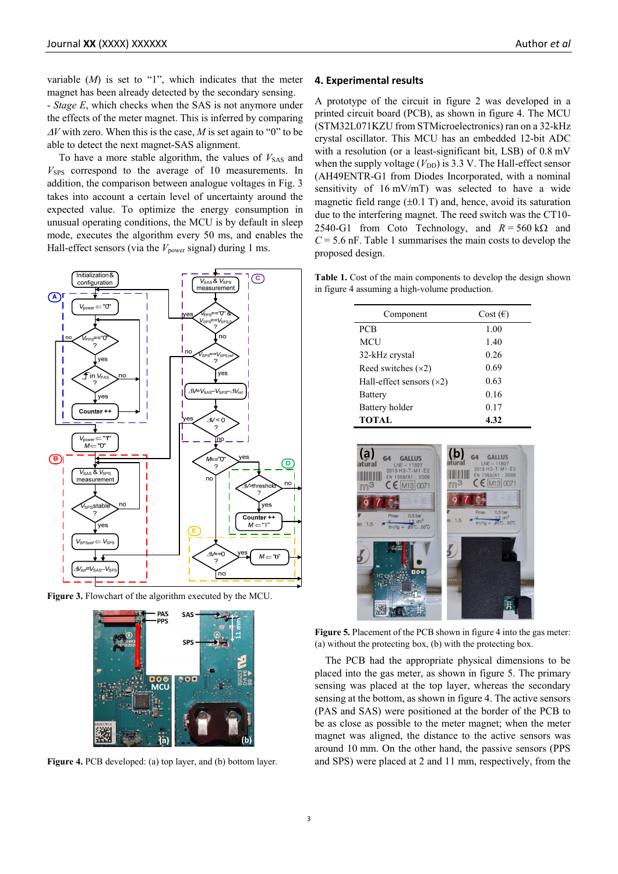variable (*M*) is set to "1", which indicates that the meter magnet has been already detected by the secondary sensing.

- *Stage E*, which checks when the SAS is not anymore under the effects of the meter magnet. This is inferred by comparing  $\Delta V$  with zero. When this is the case, *M* is set again to "0" to be able to detect the next magnet-SAS alignment.

To have a more stable algorithm, the values of  $V_{SAS}$  and  $V_{SPS}$  correspond to the average of 10 measurements. In addition, the comparison between analogue voltages in Fig. 3 takes into account a certain level of uncertainty around the expected value. To optimize the energy consumption in unusual operating conditions, the MCU is by default in sleep mode, executes the algorithm every 50 ms, and enables the Hall-effect sensors (via the  $V_{power}$  signal) during 1 ms.



**Figure 3.** Flowchart of the algorithm executed by the MCU.



**Figure 4.** PCB developed: (a) top layer, and (b) bottom layer.

#### **4. Experimental results**

A prototype of the circuit in figure 2 was developed in a printed circuit board (PCB), as shown in figure 4. The MCU (STM32L071KZU from STMicroelectronics) ran on a 32-kHz crystal oscillator. This MCU has an embedded 12-bit ADC with a resolution (or a least-significant bit, LSB) of  $0.8 \text{ mV}$ when the supply voltage  $(V_{DD})$  is 3.3 V. The Hall-effect sensor (AH49ENTR-G1 from Diodes Incorporated, with a nominal sensitivity of 16 mV/mT) was selected to have a wide magnetic field range  $(\pm 0.1 \text{ T})$  and, hence, avoid its saturation due to the interfering magnet. The reed switch was the CT10- 2540-G1 from Coto Technology, and  $R = 560 \text{ k}\Omega$  and  $C = 5.6$  nF. Table 1 summarises the main costs to develop the proposed design.

Table 1. Cost of the main components to develop the design shown in figure 4 assuming a high-volume production.

| Component                  | $Cost(\epsilon)$ |
|----------------------------|------------------|
| <b>PCB</b>                 | 1.00             |
| <b>MCU</b>                 | 1.40             |
| 32-kHz crystal             | 0.26             |
| Reed switches $(x2)$       | 0.69             |
| Hall-effect sensors $(x2)$ | 0.63             |
| Battery                    | 0.16             |
| Battery holder             | 0.17             |
| <b>TOTAL</b>               | 4.32             |



**Figure 5.** Placement of the PCB shown in figure 4 into the gas meter: (a) without the protecting box, (b) with the protecting box.

The PCB had the appropriate physical dimensions to be placed into the gas meter, as shown in figure 5. The primary sensing was placed at the top layer, whereas the secondary sensing at the bottom, as shown in figure 4. The active sensors (PAS and SAS) were positioned at the border of the PCB to be as close as possible to the meter magnet; when the meter magnet was aligned, the distance to the active sensors was around 10 mm. On the other hand, the passive sensors (PPS and SPS) were placed at 2 and 11 mm, respectively, from the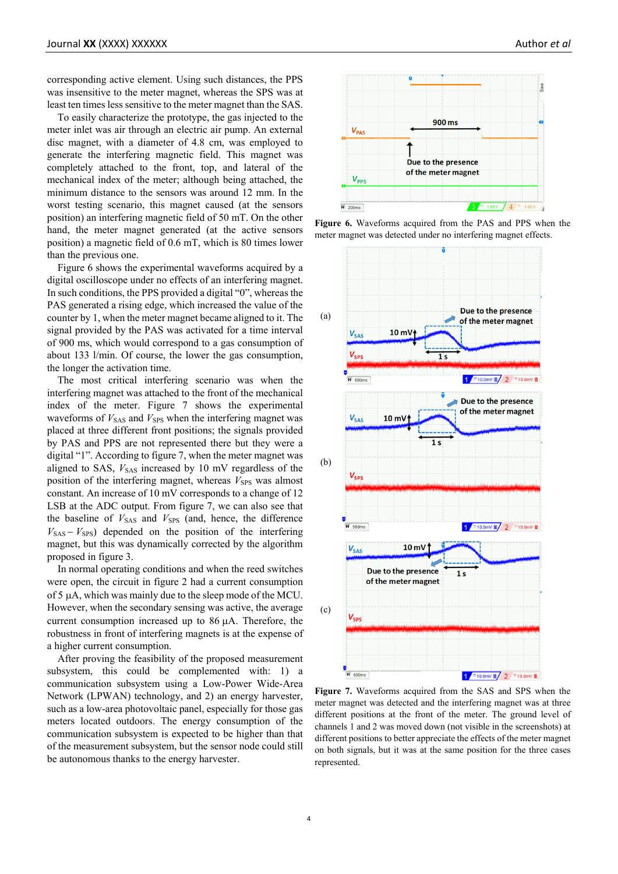corresponding active element. Using such distances, the PPS was insensitive to the meter magnet, whereas the SPS was at least ten times less sensitive to the meter magnet than the SAS.

To easily characterize the prototype, the gas injected to the meter inlet was air through an electric air pump. An external disc magnet, with a diameter of 4.8 cm, was employed to generate the interfering magnetic field. This magnet was completely attached to the front, top, and lateral of the mechanical index of the meter; although being attached, the minimum distance to the sensors was around 12 mm. In the worst testing scenario, this magnet caused (at the sensors position) an interfering magnetic field of 50 mT. On the other hand, the meter magnet generated (at the active sensors position) a magnetic field of 0.6 mT, which is 80 times lower than the previous one.

Figure 6 shows the experimental waveforms acquired by a digital oscilloscope under no effects of an interfering magnet. In such conditions, the PPS provided a digital "0", whereas the PAS generated a rising edge, which increased the value of the counter by 1, when the meter magnet became aligned to it. The signal provided by the PAS was activated for a time interval of 900 ms, which would correspond to a gas consumption of about 133 l/min. Of course, the lower the gas consumption, the longer the activation time.

The most critical interfering scenario was when the interfering magnet was attached to the front of the mechanical index of the meter. Figure 7 shows the experimental waveforms of  $V_{SAS}$  and  $V_{SPS}$  when the interfering magnet was placed at three different front positions; the signals provided by PAS and PPS are not represented there but they were a digital "1". According to figure 7, when the meter magnet was aligned to SAS,  $V_{SAS}$  increased by 10 mV regardless of the position of the interfering magnet, whereas  $V_{SPS}$  was almost constant. An increase of 10 mV corresponds to a change of 12 LSB at the ADC output. From figure 7, we can also see that the baseline of  $V_{SAS}$  and  $V_{SPS}$  (and, hence, the difference  $V_{SAS} - V_{SPS}$ ) depended on the position of the interfering magnet, but this was dynamically corrected by the algorithm proposed in figure 3.

In normal operating conditions and when the reed switches were open, the circuit in figure 2 had a current consumption of  $5 \mu A$ , which was mainly due to the sleep mode of the MCU. However, when the secondary sensing was active, the average current consumption increased up to 86  $\mu$ A. Therefore, the robustness in front of interfering magnets is at the expense of a higher current consumption.

After proving the feasibility of the proposed measurement subsystem, this could be complemented with: 1) a communication subsystem using a Low-Power Wide-Area Network (LPWAN) technology, and 2) an energy harvester, such as a low-area photovoltaic panel, especially for those gas meters located outdoors. The energy consumption of the communication subsystem is expected to be higher than that of the measurement subsystem, but the sensor node could still be autonomous thanks to the energy harvester.



**Figure 6.** Waveforms acquired from the PAS and PPS when the meter magnet was detected under no interfering magnet effects.



**Figure 7.** Waveforms acquired from the SAS and SPS when the meter magnet was detected and the interfering magnet was at three different positions at the front of the meter. The ground level of channels 1 and 2 was moved down (not visible in the screenshots) at different positions to better appreciate the effects of the meter magnet on both signals, but it was at the same position for the three cases represented.